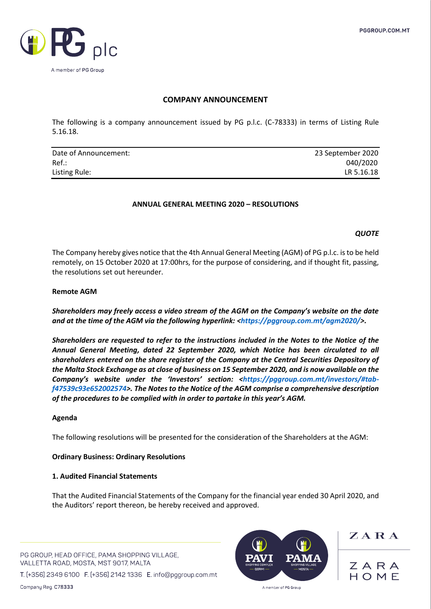

# **COMPANY ANNOUNCEMENT**

The following is a company announcement issued by PG p.l.c. (C-78333) in terms of Listing Rule 5.16.18.

| Date of Announcement: | 23 September 2020 |
|-----------------------|-------------------|
| Ref.:                 | 040/2020          |
| Listing Rule:         | LR 5.16.18        |

## **ANNUAL GENERAL MEETING 2020 – RESOLUTIONS**

#### *QUOTE*

The Company hereby gives notice that the 4th Annual General Meeting (AGM) of PG p.l.c. is to be held remotely, on 15 October 2020 at 17:00hrs, for the purpose of considering, and if thought fit, passing, the resolutions set out hereunder.

#### **Remote AGM**

*Shareholders may freely access a video stream of the AGM on the Company's website on the date and at the time of the AGM via the following hyperlink: [<https://pggroup.com.mt/agm2020/>](https://pggroup.com.mt/agm2020/).* 

*Shareholders are requested to refer to the instructions included in the Notes to the Notice of the Annual General Meeting, dated 22 September 2020, which Notice has been circulated to all shareholders entered on the share register of the Company at the Central Securities Depository of the Malta Stock Exchange as at close of business on 15 September 2020, and is now available on the Company's website under the 'Investors' section: [<https://pggroup.com.mt/investors/#tab](https://pggroup.com.mt/investors/#tab-f47539c93e652002574)[f47539c93e652002574>](https://pggroup.com.mt/investors/#tab-f47539c93e652002574). The Notes to the Notice of the AGM comprise a comprehensive description of the procedures to be complied with in order to partake in this year's AGM.* 

#### **Agenda**

The following resolutions will be presented for the consideration of the Shareholders at the AGM:

#### **Ordinary Business: Ordinary Resolutions**

#### **1. Audited Financial Statements**

That the Audited Financial Statements of the Company for the financial year ended 30 April 2020, and the Auditors' report thereon, be hereby received and approved.

PG GROUP, HEAD OFFICE, PAMA SHOPPING VILLAGE, VALLETTA ROAD, MOSTA, MST 9017, MALTA

T. (+356) 2349 6100 F. (+356) 2142 1336 E. info@pggroup.com.mt



 $Z$  A R A

ZARA  $H \cap M F$